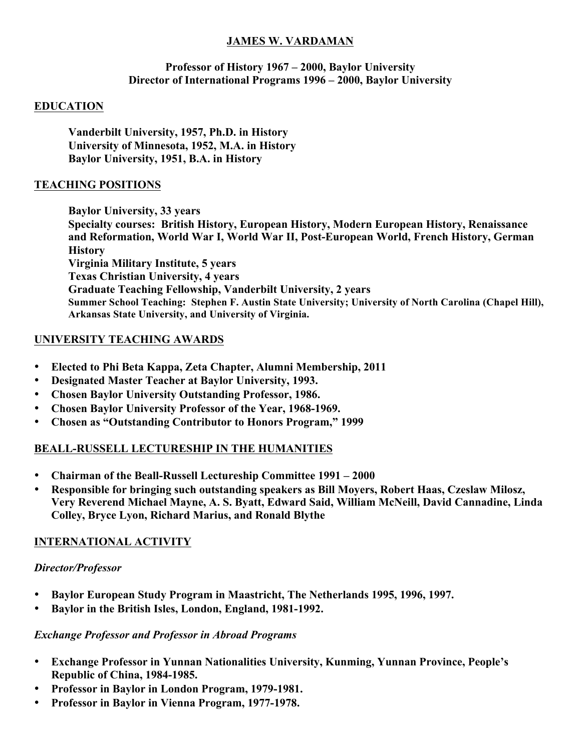#### **JAMES W. VARDAMAN**

#### **Professor of History 1967 – 2000, Baylor University Director of International Programs 1996 – 2000, Baylor University**

#### **EDUCATION**

**Vanderbilt University, 1957, Ph.D. in History University of Minnesota, 1952, M.A. in History Baylor University, 1951, B.A. in History**

#### **TEACHING POSITIONS**

**Baylor University, 33 years Specialty courses: British History, European History, Modern European History, Renaissance and Reformation, World War I, World War II, Post-European World, French History, German History Virginia Military Institute, 5 years Texas Christian University, 4 years Graduate Teaching Fellowship, Vanderbilt University, 2 years Summer School Teaching: Stephen F. Austin State University; University of North Carolina (Chapel Hill), Arkansas State University, and University of Virginia.** 

#### **UNIVERSITY TEACHING AWARDS**

- **Elected to Phi Beta Kappa, Zeta Chapter, Alumni Membership, 2011**
- **Designated Master Teacher at Baylor University, 1993.**
- **Chosen Baylor University Outstanding Professor, 1986.**
- **Chosen Baylor University Professor of the Year, 1968-1969.**
- **Chosen as "Outstanding Contributor to Honors Program," 1999**

#### **BEALL-RUSSELL LECTURESHIP IN THE HUMANITIES**

- **Chairman of the Beall-Russell Lectureship Committee 1991 – 2000**
- **Responsible for bringing such outstanding speakers as Bill Moyers, Robert Haas, Czeslaw Milosz, Very Reverend Michael Mayne, A. S. Byatt, Edward Said, William McNeill, David Cannadine, Linda Colley, Bryce Lyon, Richard Marius, and Ronald Blythe**

## **INTERNATIONAL ACTIVITY**

## *Director/Professor*

- **Baylor European Study Program in Maastricht, The Netherlands 1995, 1996, 1997.**
- **Baylor in the British Isles, London, England, 1981-1992.**

## *Exchange Professor and Professor in Abroad Programs*

- **Exchange Professor in Yunnan Nationalities University, Kunming, Yunnan Province, People's Republic of China, 1984-1985.**
- **Professor in Baylor in London Program, 1979-1981.**
- **Professor in Baylor in Vienna Program, 1977-1978.**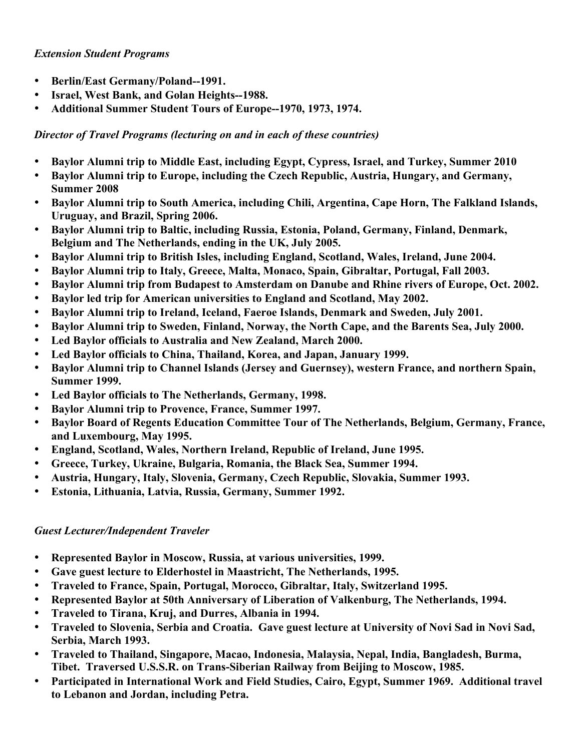#### *Extension Student Programs*

- **Berlin/East Germany/Poland--1991.**
- **Israel, West Bank, and Golan Heights--1988.**
- **Additional Summer Student Tours of Europe--1970, 1973, 1974.**

*Director of Travel Programs (lecturing on and in each of these countries)*

- **Baylor Alumni trip to Middle East, including Egypt, Cypress, Israel, and Turkey, Summer 2010**
- **Baylor Alumni trip to Europe, including the Czech Republic, Austria, Hungary, and Germany, Summer 2008**
- **Baylor Alumni trip to South America, including Chili, Argentina, Cape Horn, The Falkland Islands, Uruguay, and Brazil, Spring 2006.**
- **Baylor Alumni trip to Baltic, including Russia, Estonia, Poland, Germany, Finland, Denmark, Belgium and The Netherlands, ending in the UK, July 2005.**
- **Baylor Alumni trip to British Isles, including England, Scotland, Wales, Ireland, June 2004.**
- **Baylor Alumni trip to Italy, Greece, Malta, Monaco, Spain, Gibraltar, Portugal, Fall 2003.**
- **Baylor Alumni trip from Budapest to Amsterdam on Danube and Rhine rivers of Europe, Oct. 2002.**
- **Baylor led trip for American universities to England and Scotland, May 2002.**
- **Baylor Alumni trip to Ireland, Iceland, Faeroe Islands, Denmark and Sweden, July 2001.**
- **Baylor Alumni trip to Sweden, Finland, Norway, the North Cape, and the Barents Sea, July 2000.**
- **Led Baylor officials to Australia and New Zealand, March 2000.**
- **Led Baylor officials to China, Thailand, Korea, and Japan, January 1999.**
- **Baylor Alumni trip to Channel Islands (Jersey and Guernsey), western France, and northern Spain, Summer 1999.**
- **Led Baylor officials to The Netherlands, Germany, 1998.**
- **Baylor Alumni trip to Provence, France, Summer 1997.**
- **Baylor Board of Regents Education Committee Tour of The Netherlands, Belgium, Germany, France, and Luxembourg, May 1995.**
- **England, Scotland, Wales, Northern Ireland, Republic of Ireland, June 1995.**
- **Greece, Turkey, Ukraine, Bulgaria, Romania, the Black Sea, Summer 1994.**
- **Austria, Hungary, Italy, Slovenia, Germany, Czech Republic, Slovakia, Summer 1993.**
- **Estonia, Lithuania, Latvia, Russia, Germany, Summer 1992.**

# *Guest Lecturer/Independent Traveler*

- **Represented Baylor in Moscow, Russia, at various universities, 1999.**
- **Gave guest lecture to Elderhostel in Maastricht, The Netherlands, 1995.**
- **Traveled to France, Spain, Portugal, Morocco, Gibraltar, Italy, Switzerland 1995.**
- **Represented Baylor at 50th Anniversary of Liberation of Valkenburg, The Netherlands, 1994.**
- **Traveled to Tirana, Kruj, and Durres, Albania in 1994.**
- **Traveled to Slovenia, Serbia and Croatia. Gave guest lecture at University of Novi Sad in Novi Sad, Serbia, March 1993.**
- **Traveled to Thailand, Singapore, Macao, Indonesia, Malaysia, Nepal, India, Bangladesh, Burma, Tibet. Traversed U.S.S.R. on Trans-Siberian Railway from Beijing to Moscow, 1985.**
- **Participated in International Work and Field Studies, Cairo, Egypt, Summer 1969. Additional travel to Lebanon and Jordan, including Petra.**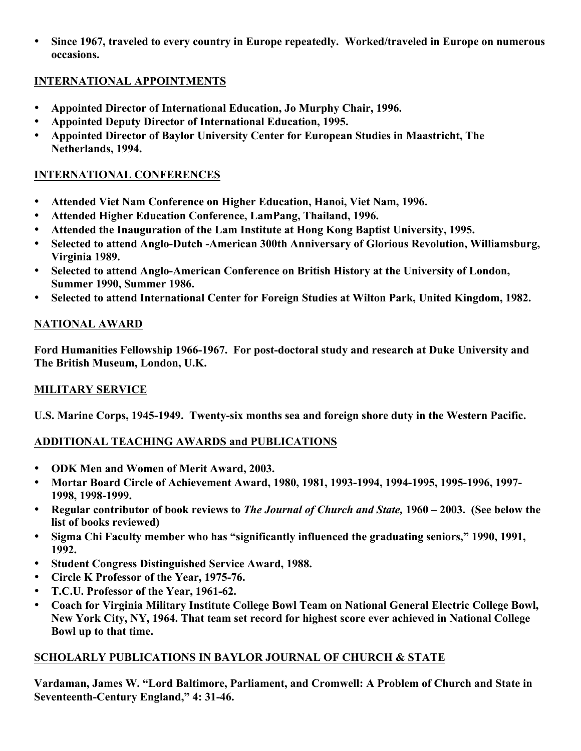• **Since 1967, traveled to every country in Europe repeatedly. Worked/traveled in Europe on numerous occasions.**

## **INTERNATIONAL APPOINTMENTS**

- **Appointed Director of International Education, Jo Murphy Chair, 1996.**
- **Appointed Deputy Director of International Education, 1995.**
- **Appointed Director of Baylor University Center for European Studies in Maastricht, The Netherlands, 1994.**

## **INTERNATIONAL CONFERENCES**

- **Attended Viet Nam Conference on Higher Education, Hanoi, Viet Nam, 1996.**
- **Attended Higher Education Conference, LamPang, Thailand, 1996.**
- **Attended the Inauguration of the Lam Institute at Hong Kong Baptist University, 1995.**
- **Selected to attend Anglo-Dutch -American 300th Anniversary of Glorious Revolution, Williamsburg, Virginia 1989.**
- **Selected to attend Anglo-American Conference on British History at the University of London, Summer 1990, Summer 1986.**
- **Selected to attend International Center for Foreign Studies at Wilton Park, United Kingdom, 1982.**

## **NATIONAL AWARD**

**Ford Humanities Fellowship 1966-1967. For post-doctoral study and research at Duke University and The British Museum, London, U.K.**

# **MILITARY SERVICE**

**U.S. Marine Corps, 1945-1949. Twenty-six months sea and foreign shore duty in the Western Pacific.**

# **ADDITIONAL TEACHING AWARDS and PUBLICATIONS**

- **ODK Men and Women of Merit Award, 2003.**
- **Mortar Board Circle of Achievement Award, 1980, 1981, 1993-1994, 1994-1995, 1995-1996, 1997- 1998, 1998-1999.**
- **Regular contributor of book reviews to** *The Journal of Church and State,* **1960 – 2003. (See below the list of books reviewed)**
- **Sigma Chi Faculty member who has "significantly influenced the graduating seniors," 1990, 1991, 1992.**
- **Student Congress Distinguished Service Award, 1988.**
- **Circle K Professor of the Year, 1975-76.**
- **T.C.U. Professor of the Year, 1961-62.**
- **Coach for Virginia Military Institute College Bowl Team on National General Electric College Bowl, New York City, NY, 1964. That team set record for highest score ever achieved in National College Bowl up to that time.**

# **SCHOLARLY PUBLICATIONS IN BAYLOR JOURNAL OF CHURCH & STATE**

**Vardaman, James W. "Lord Baltimore, Parliament, and Cromwell: A Problem of Church and State in Seventeenth-Century England," 4: 31-46.**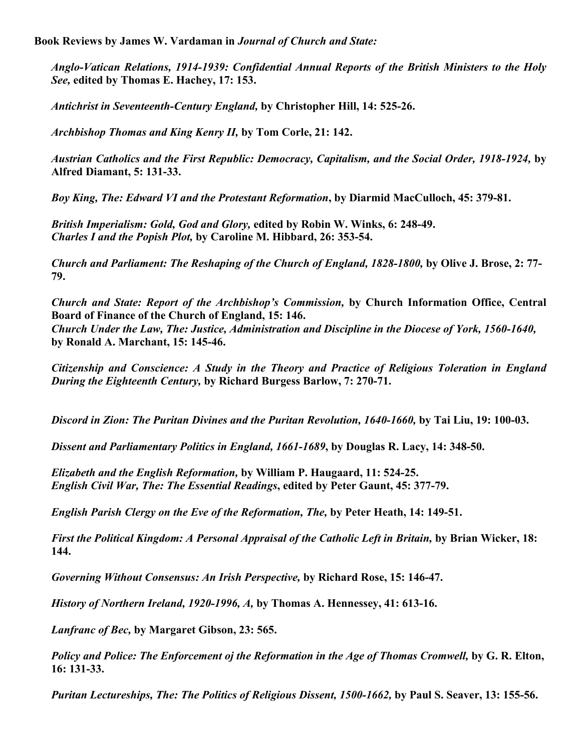**Book Reviews by James W. Vardaman in** *Journal of Church and State:*

*Anglo-Vatican Relations, 1914-1939: Confidential Annual Reports of the British Ministers to the Holy See,* **edited by Thomas E. Hachey, 17: 153.**

*Antichrist in Seventeenth-Century England,* **by Christopher Hill, 14: 525-26.**

*Archbishop Thomas and King Kenry II,* **by Tom Corle, 21: 142.**

*Austrian Catholics and the First Republic: Democracy, Capitalism, and the Social Order, 1918-1924,* **by Alfred Diamant, 5: 131-33.**

*Boy King, The: Edward VI and the Protestant Reformation***, by Diarmid MacCulloch, 45: 379-81.**

*British Imperialism: Gold, God and Glory,* **edited by Robin W. Winks, 6: 248-49.** *Charles I and the Popish Plot,* **by Caroline M. Hibbard, 26: 353-54.**

*Church and Parliament: The Reshaping of the Church of England, 1828-1800,* **by Olive J. Brose, 2: 77- 79.**

*Church and State: Report of the Archbishop's Commission,* **by Church Information Office, Central Board of Finance of the Church of England, 15: 146.** *Church Under the Law, The: Justice, Administration and Discipline in the Diocese of York, 1560-1640,*  **by Ronald A. Marchant, 15: 145-46.**

*Citizenship and Conscience: A Study in the Theory and Practice of Religious Toleration in England During the Eighteenth Century,* **by Richard Burgess Barlow, 7: 270-71.**

*Discord in Zion: The Puritan Divines and the Puritan Revolution, 1640-1660,* **by Tai Liu, 19: 100-03.**

*Dissent and Parliamentary Politics in England, 1661-1689***, by Douglas R. Lacy, 14: 348-50.**

*Elizabeth and the English Reformation,* **by William P. Haugaard, 11: 524-25.** *English Civil War, The: The Essential Readings***, edited by Peter Gaunt, 45: 377-79.**

*English Parish Clergy on the Eve of the Reformation, The,* **by Peter Heath, 14: 149-51.**

*First the Political Kingdom: A Personal Appraisal of the Catholic Left in Britain, by Brian Wicker, 18:* **144.**

*Governing Without Consensus: An Irish Perspective,* **by Richard Rose, 15: 146-47.**

*History of Northern Ireland, 1920-1996, A,* **by Thomas A. Hennessey, 41: 613-16.**

*Lanfranc of Bec,* **by Margaret Gibson, 23: 565.**

*Policy and Police: The Enforcement oj the Reformation in the Age of Thomas Cromwell,* **by G. R. Elton, 16: 131-33.**

*Puritan Lectureships, The: The Politics of Religious Dissent, 1500-1662, by Paul S. Seaver, 13: 155-56.*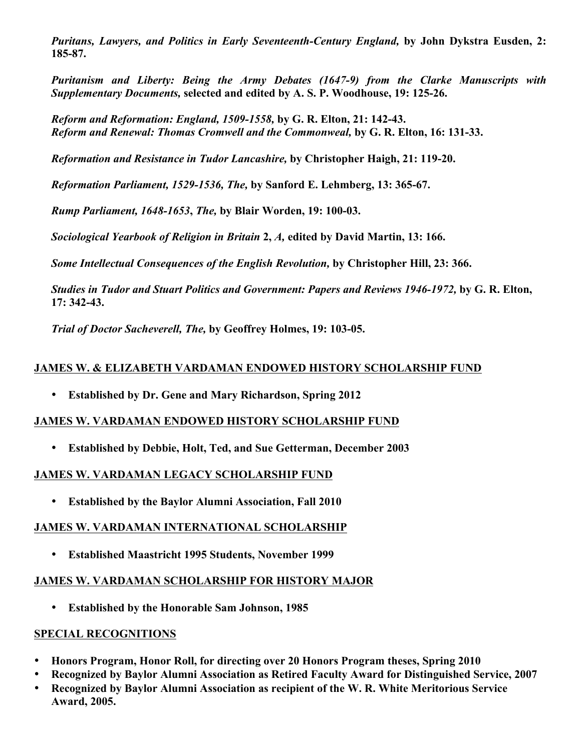*Puritans, Lawyers, and Politics in Early Seventeenth-Century England,* **by John Dykstra Eusden, 2: 185-87.**

*Puritanism and Liberty: Being the Army Debates (1647-9) from the Clarke Manuscripts with Supplementary Documents,* **selected and edited by A. S. P. Woodhouse, 19: 125-26.**

*Reform and Reformation: England, 1509-1558,* **by G. R. Elton, 21: 142-43.** *Reform and Renewal: Thomas Cromwell and the Commonweal,* **by G. R. Elton, 16: 131-33.**

*Reformation and Resistance in Tudor Lancashire,* **by Christopher Haigh, 21: 119-20.**

*Reformation Parliament, 1529-1536, The,* **by Sanford E. Lehmberg, 13: 365-67.**

*Rump Parliament, 1648-1653***,** *The,* **by Blair Worden, 19: 100-03.**

*Sociological Yearbook of Religion in Britain* **2,** *A,* **edited by David Martin, 13: 166.**

*Some Intellectual Consequences of the English Revolution,* **by Christopher Hill, 23: 366.**

*Studies in Tudor and Stuart Politics and Government: Papers and Reviews 1946-1972,* **by G. R. Elton, 17: 342-43.**

*Trial of Doctor Sacheverell, The,* **by Geoffrey Holmes, 19: 103-05.**

#### **JAMES W. & ELIZABETH VARDAMAN ENDOWED HISTORY SCHOLARSHIP FUND**

• **Established by Dr. Gene and Mary Richardson, Spring 2012**

#### **JAMES W. VARDAMAN ENDOWED HISTORY SCHOLARSHIP FUND**

• **Established by Debbie, Holt, Ted, and Sue Getterman, December 2003**

#### **JAMES W. VARDAMAN LEGACY SCHOLARSHIP FUND**

• **Established by the Baylor Alumni Association, Fall 2010**

## **JAMES W. VARDAMAN INTERNATIONAL SCHOLARSHIP**

• **Established Maastricht 1995 Students, November 1999** 

#### **JAMES W. VARDAMAN SCHOLARSHIP FOR HISTORY MAJOR**

• **Established by the Honorable Sam Johnson, 1985**

## **SPECIAL RECOGNITIONS**

- **Honors Program, Honor Roll, for directing over 20 Honors Program theses, Spring 2010**
- **Recognized by Baylor Alumni Association as Retired Faculty Award for Distinguished Service, 2007**
- **Recognized by Baylor Alumni Association as recipient of the W. R. White Meritorious Service Award, 2005.**